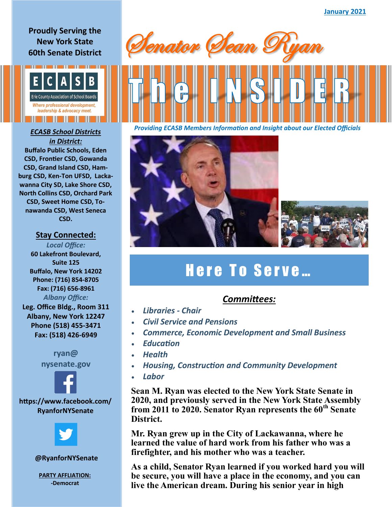### **Proudly Serving the New York State 60th Senate District**



# *in District:* **Buffalo Public Schools, Eden CSD, Frontier CSD, Gowanda CSD, Grand Island CSD, Ham-**

**burg CSD, Ken-Ton UFSD, Lackawanna City SD, Lake Shore CSD, North Collins CSD, Orchard Park CSD, Sweet Home CSD, Tonawanda CSD, West Seneca CSD.**

#### **Stay Connected:**

*Local Office:* **60 Lakefront Boulevard, Suite 125 Buffalo, New York 14202 Phone: (716) 854-8705 Fax: (716) 656-8961** *Albany Office:*  **Leg. Office Bldg., Room 311 Albany, New York 12247 Phone (518) 455-3471 Fax: (518) 426-6949**

> **ryan@ nysenate.gov**



**https://www.facebook.com/ RyanforNYSenate**



**@RyanforNYSenate**

**PARTY AFFLIATION: -Democrat**







# Here To Serve...

## *Committees:*

- *Libraries - Chair*
- *Civil Service and Pensions*
- *Commerce, Economic Development and Small Business*
- *Education*
- *Health*
- *Housing, Construction and Community Development*
- *Labor*

**Sean M. Ryan was elected to the New York State Senate in 2020, and previously served in the New York State Assembly from 2011 to 2020. Senator Ryan represents the 60th Senate District.**

**Mr. Ryan grew up in the City of Lackawanna, where he learned the value of hard work from his father who was a firefighter, and his mother who was a teacher.** 

**As a child, Senator Ryan learned if you worked hard you will be secure, you will have a place in the economy, and you can live the American dream. During his senior year in high**